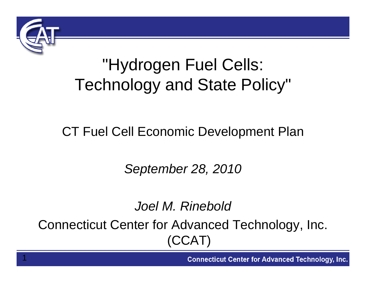

1

### "Hydrogen Fuel Cells: Technology and State Policy"

#### CT Fuel Cell Economic Development Plan

*September 28, 2010*

#### *Joel M. Rinebold*Connecticut Center for Advanced Technology, Inc. (CCAT)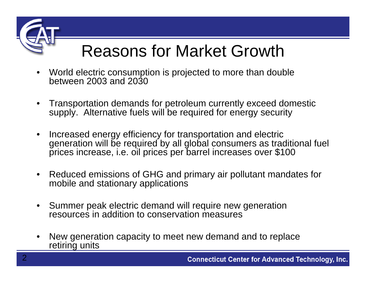

# Reasons for Market Growth

- World electric consumption is projected to more than double between 2003 and 2030
- Transportation demands for petroleum currently exceed domestic supply. Alternative fuels will be required for energy security
- Increased energy efficiency for transportation and electric generation will be required by all global consumers as traditional fuel prices increase, i.e. oil prices per barrel increases over \$100
- Reduced emissions of GHG and primary air pollutant mandates for mobile and stationary applications
- Summer peak electric demand will require new generation resources in addition to conservation measures
- New generation capacity to meet new demand and to replace retiring units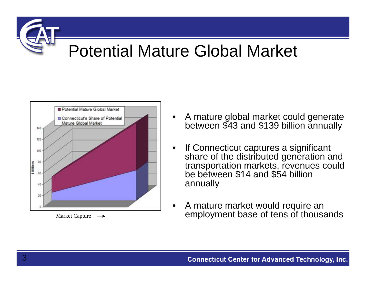#### Potential Mature Global Market



- A mature global market could generate between \$43 and \$139 billion annually
- If Connecticut captures a significant share of the distributed generation and transportation markets, revenues could be between \$14 and \$54 billion annually
- A mature market would require an  $Market Capture \rightarrow$  employment base of tens of thousands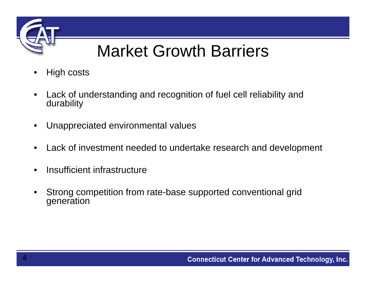

## Market Growth Barriers

- High costs
- Lack of understanding and recognition of fuel cell reliability and durability
- Unappreciated environmental values
- Lack of investment needed to undertake research and development
- Insufficient infrastructure
- Strong competition from rate-base supported conventional grid generation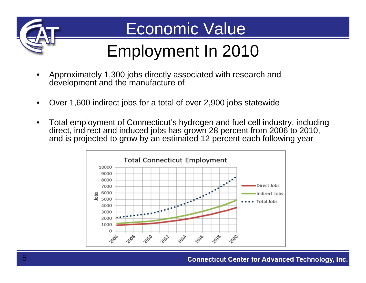

#### Economic Value

# Employment In 2010

- Approximately 1,300 jobs directly associated with research and development and the manufacture of
- Over 1,600 indirect jobs for a total of over 2,900 jobs statewide
- Total employment of Connecticut's hydrogen and fuel cell industry, including direct, indirect and induced jobs has grown 28 percent from 2006 to 2010, and is projected to grow by an estimated 12 percent each following year

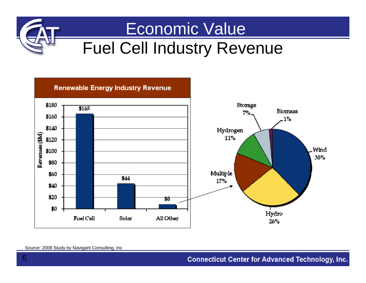

#### Economic Value

#### Fuel Cell Industry Revenue



#### Source: 2009 Study by Navigant Consulting, Inc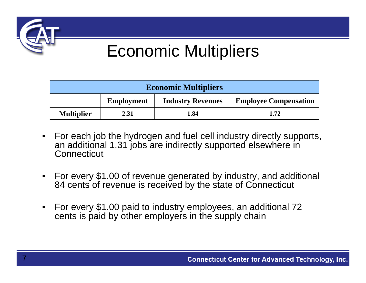

7

#### Economic Multipliers

| <b>Economic Multipliers</b> |                   |                          |                              |  |  |  |  |
|-----------------------------|-------------------|--------------------------|------------------------------|--|--|--|--|
|                             | <b>Employment</b> | <b>Industry Revenues</b> | <b>Employee Compensation</b> |  |  |  |  |
| <b>Multiplier</b>           | 2.31              | 1.84                     | 1.72                         |  |  |  |  |

- For each job the hydrogen and fuel cell industry directly supports, an additional 1.31 jobs are indirectly supported elsewhere in **Connecticut**
- For every \$1.00 of revenue generated by industry, and additional 84 cents of revenue is received by the state of Connecticut
- For every \$1.00 paid to industry employees, an additional 72 cents is paid by other employers in the supply chain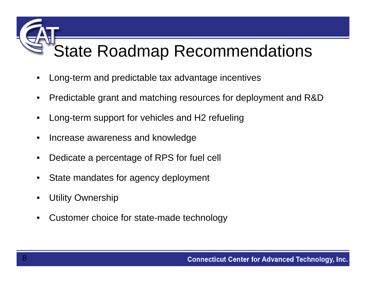## State Roadmap Recommendations

- Long-term and predictable tax advantage incentives
- Predictable grant and matching resources for deployment and R&D
- Long-term support for vehicles and H2 refueling
- Increase awareness and knowledge
- Dedicate a percentage of RPS for fuel cell
- State mandates for agency deployment
- **Utility Ownership**
- Customer choice for state-made technology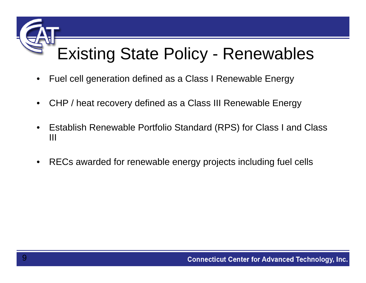## Existing State Policy - Renewables

- Fuel cell generation defined as a Class I Renewable Energy
- CHP / heat recovery defined as a Class III Renewable Energy
- Establish Renewable Portfolio Standard (RPS) for Class I and Class III
- RECs awarded for renewable energy projects including fuel cells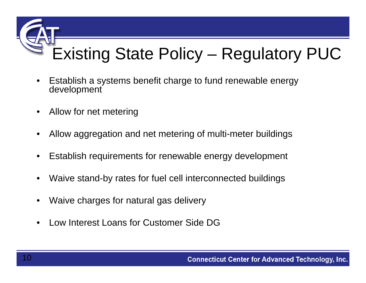

- Establish a systems benefit charge to fund renewable energy development
- Allow for net metering
- Allow aggregation and net metering of multi-meter buildings
- Establish requirements for renewable energy development
- Waive stand-by rates for fuel cell interconnected buildings
- Waive charges for natural gas delivery
- Low Interest Loans for Customer Side DG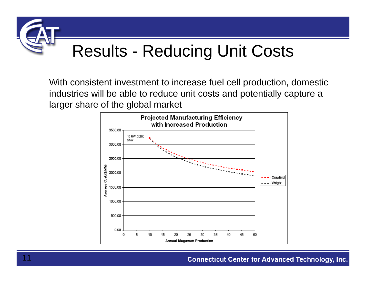

With consistent investment to increase fuel cell production, domestic industries will be able to reduce unit costs and potentially capture a larger share of the global market

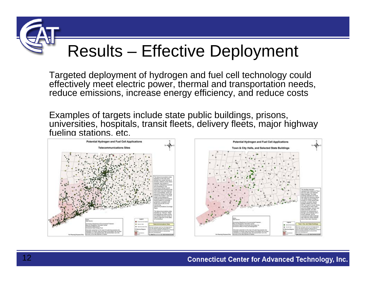## Results – Effective Deployment

Targeted deployment of hydrogen and fuel cell technology could effectively meet electric power, thermal and transportation needs, reduce emissions, increase energy efficiency, and reduce costs

Examples of targets include state public buildings, prisons, universities, hospitals, transit fleets, delivery fleets, major highway fueling stations, etc.

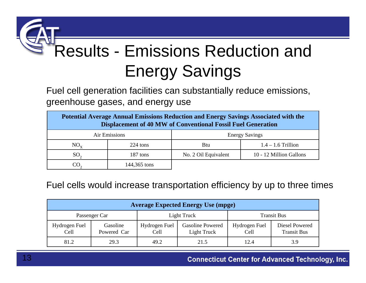# Results - Emissions Reduction and Energy Savings

Fuel cell generation facilities can substantially reduce emissions, greenhouse gases, and energy use

| Potential Average Annual Emissions Reduction and Energy Savings Associated with the<br><b>Displacement of 40 MW of Conventional Fossil Fuel Generation</b> |              |                       |                         |  |  |  |  |  |
|------------------------------------------------------------------------------------------------------------------------------------------------------------|--------------|-----------------------|-------------------------|--|--|--|--|--|
| Air Emissions                                                                                                                                              |              | <b>Energy Savings</b> |                         |  |  |  |  |  |
| $NO_{\rm v}$                                                                                                                                               | 224 tons     | <b>Btu</b>            | $1.4 - 1.6$ Trillion    |  |  |  |  |  |
| SO <sub>2</sub>                                                                                                                                            | 187 tons     | No. 2 Oil Equivalent  | 10 - 12 Million Gallons |  |  |  |  |  |
|                                                                                                                                                            | 144,365 tons |                       |                         |  |  |  |  |  |

Fuel cells would increase transportation efficiency by up to three times

| <b>Average Expected Energy Use (mpge)</b> |                         |                       |                                        |                       |                                      |  |  |  |  |
|-------------------------------------------|-------------------------|-----------------------|----------------------------------------|-----------------------|--------------------------------------|--|--|--|--|
| Passenger Car                             |                         | Light Truck           |                                        | <b>Transit Bus</b>    |                                      |  |  |  |  |
| Hydrogen Fuel<br>Cell                     | Gasoline<br>Powered Car | Hydrogen Fuel<br>Cell | <b>Gasoline Powered</b><br>Light Truck | Hydrogen Fuel<br>Cell | Diesel Powered<br><b>Transit Bus</b> |  |  |  |  |
| 81.2                                      | 29.3                    | 49.2                  | 21.5                                   | 12.4                  | 3.9                                  |  |  |  |  |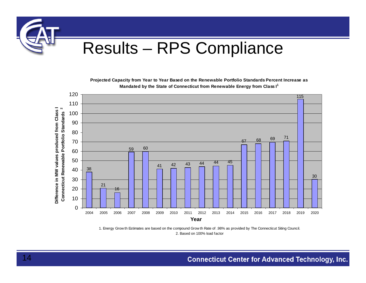

**Projected Capacity from Year to Year Based on the Renewable Portfolio Standards Percent Increase as Mandated by the State of Connecticut from Renewable Energy from Class I<sup>1</sup>**



1. Energy Grow th Estimates are based on the compound Grow th Rate of .98% as provided by The Connecticut Siting Council. 2. Based on 100% load factor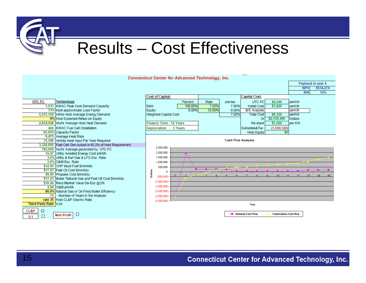

#### Results – Cost Effectiveness

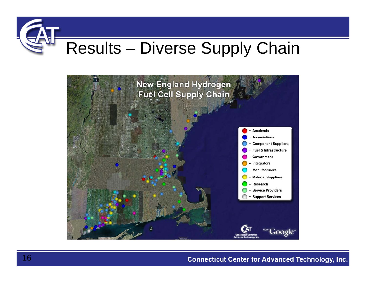## Results – Diverse Supply Chain

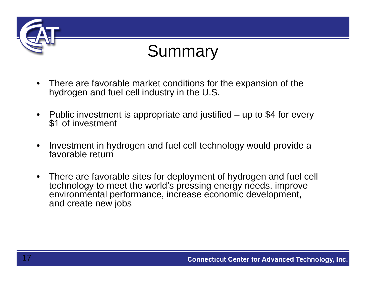

#### Summary

- There are favorable market conditions for the expansion of the hydrogen and fuel cell industry in the U.S.
- Public investment is appropriate and justified up to \$4 for every<br>\$1 of investment
- Investment in hydrogen and fuel cell technology would provide a favorable return
- There are favorable sites for deployment of hydrogen and fuel cell technology to meet the world's pressing energy needs, improve environmental performance, increase economic development, and create new jobs